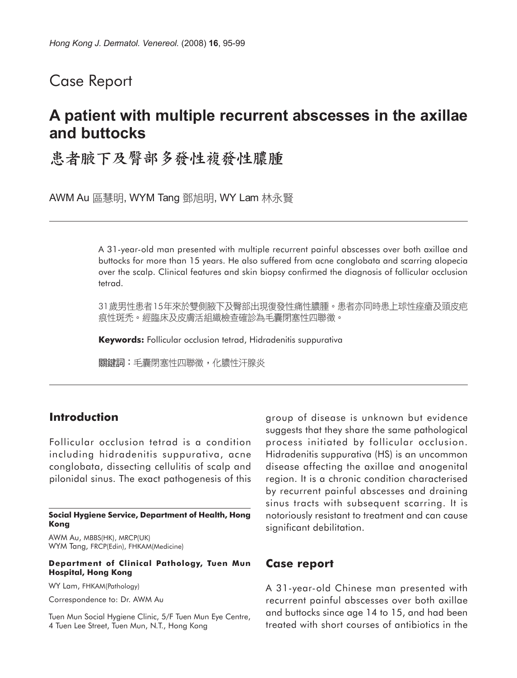## Case Report

# **A patient with multiple recurrent abscesses in the axillae and buttocks**

## 患者腋下及臀部多發性複發性膿腫

AWM Au 區慧明, WYM Tang 鄧旭明, WY Lam 林永賢

A 31-year-old man presented with multiple recurrent painful abscesses over both axillae and buttocks for more than 15 years. He also suffered from acne conglobata and scarring alopecia over the scalp. Clinical features and skin biopsy confirmed the diagnosis of follicular occlusion tetrad.

31歲男性患者15年來於雙側腋下及臀部出現復發性痛性膿腫。患者亦同時患上球性痤瘡及頭皮疤 痕性斑禿。經臨床及皮膚活組織檢查確診為毛囊閉塞性四聯徵。

**Keywords:** Follicular occlusion tetrad, Hidradenitis suppurativa

關鍵詞:毛囊閉塞性四聯徵,化膿性汗腺炎

### **Introduction**

Follicular occlusion tetrad is a condition including hidradenitis suppurativa, acne conglobata, dissecting cellulitis of scalp and pilonidal sinus. The exact pathogenesis of this

#### **Social Hygiene Service, Department of Health, Hong Kong**

AWM Au, MBBS(HK), MRCP(UK) WYM Tang, FRCP(Edin), FHKAM(Medicine)

#### **Department of Clinical Pathology, Tuen Mun Hospital, Hong Kong**

WY Lam, FHKAM(Pathology)

Correspondence to: Dr. AWM Au

Tuen Mun Social Hygiene Clinic, 5/F Tuen Mun Eye Centre, 4 Tuen Lee Street, Tuen Mun, N.T., Hong Kong

group of disease is unknown but evidence suggests that they share the same pathological process initiated by follicular occlusion. Hidradenitis suppurativa (HS) is an uncommon disease affecting the axillae and anogenital region. It is a chronic condition characterised by recurrent painful abscesses and draining sinus tracts with subsequent scarring. It is notoriously resistant to treatment and can cause significant debilitation.

### **Case report**

A 31-year-old Chinese man presented with recurrent painful abscesses over both axillae and buttocks since age 14 to 15, and had been treated with short courses of antibiotics in the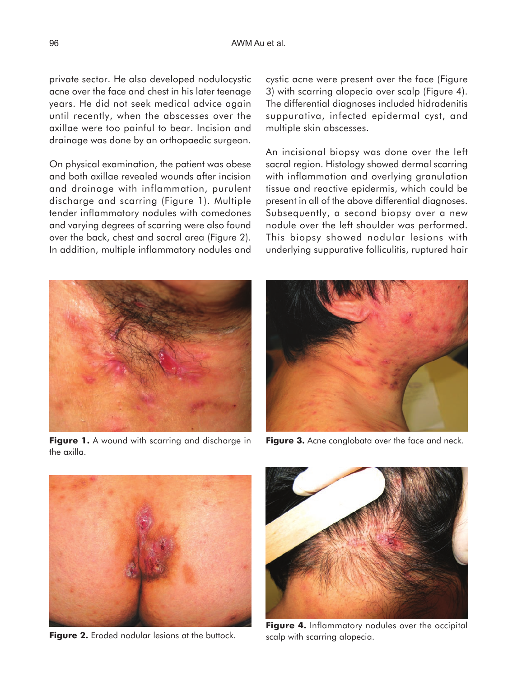private sector. He also developed nodulocystic acne over the face and chest in his later teenage years. He did not seek medical advice again until recently, when the abscesses over the axillae were too painful to bear. Incision and drainage was done by an orthopaedic surgeon.

On physical examination, the patient was obese and both axillae revealed wounds after incision and drainage with inflammation, purulent discharge and scarring (Figure 1). Multiple tender inflammatory nodules with comedones and varying degrees of scarring were also found over the back, chest and sacral area (Figure 2). In addition, multiple inflammatory nodules and cystic acne were present over the face (Figure 3) with scarring alopecia over scalp (Figure 4). The differential diagnoses included hidradenitis suppurativa, infected epidermal cyst, and multiple skin abscesses.

An incisional biopsy was done over the left sacral region. Histology showed dermal scarring with inflammation and overlying granulation tissue and reactive epidermis, which could be present in all of the above differential diagnoses. Subsequently, a second biopsy over a new nodule over the left shoulder was performed. This biopsy showed nodular lesions with underlying suppurative folliculitis, ruptured hair



**Figure 1.** A wound with scarring and discharge in the axilla.



**Figure 3.** Acne conglobata over the face and neck.



**Figure 2.** Eroded nodular lesions at the buttock.



**Figure 4.** Inflammatory nodules over the occipital scalp with scarring alopecia.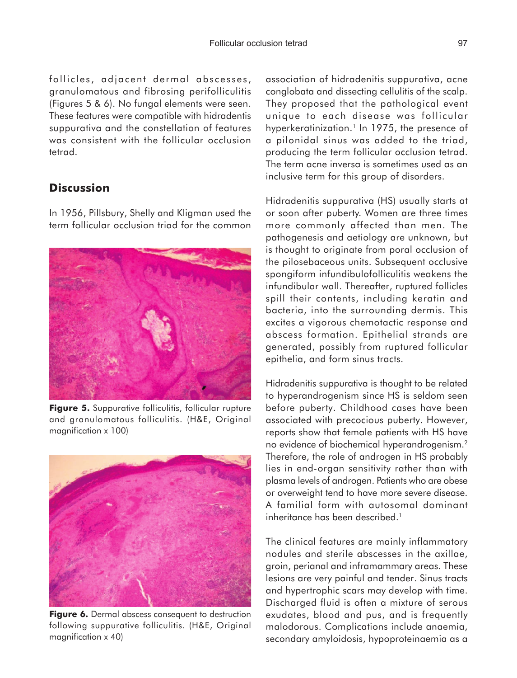follicles, adjacent dermal abscesses, granulomatous and fibrosing perifolliculitis (Figures 5 & 6). No fungal elements were seen. These features were compatible with hidradentis suppurativa and the constellation of features was consistent with the follicular occlusion tetrad.

### **Discussion**

In 1956, Pillsbury, Shelly and Kligman used the term follicular occlusion triad for the common



**Figure 5.** Suppurative folliculitis, follicular rupture and granulomatous folliculitis. (H&E, Original magnification x 100)



Figure 6. Dermal abscess consequent to destruction following suppurative folliculitis. (H&E, Original magnification x 40)

association of hidradenitis suppurativa, acne conglobata and dissecting cellulitis of the scalp. They proposed that the pathological event unique to each disease was follicular hyperkeratinization.<sup>1</sup> In 1975, the presence of a pilonidal sinus was added to the triad, producing the term follicular occlusion tetrad. The term acne inversa is sometimes used as an inclusive term for this group of disorders.

Hidradenitis suppurativa (HS) usually starts at or soon after puberty. Women are three times more commonly affected than men. The pathogenesis and aetiology are unknown, but is thought to originate from poral occlusion of the pilosebaceous units. Subsequent occlusive spongiform infundibulofolliculitis weakens the infundibular wall. Thereafter, ruptured follicles spill their contents, including keratin and bacteria, into the surrounding dermis. This excites a vigorous chemotactic response and abscess formation. Epithelial strands are generated, possibly from ruptured follicular epithelia, and form sinus tracts.

Hidradenitis suppurativa is thought to be related to hyperandrogenism since HS is seldom seen before puberty. Childhood cases have been associated with precocious puberty. However, reports show that female patients with HS have no evidence of biochemical hyperandrogenism.2 Therefore, the role of androgen in HS probably lies in end-organ sensitivity rather than with plasma levels of androgen. Patients who are obese or overweight tend to have more severe disease. A familial form with autosomal dominant inheritance has been described.<sup>1</sup>

The clinical features are mainly inflammatory nodules and sterile abscesses in the axillae, groin, perianal and inframammary areas. These lesions are very painful and tender. Sinus tracts and hypertrophic scars may develop with time. Discharged fluid is often a mixture of serous exudates, blood and pus, and is frequently malodorous. Complications include anaemia, secondary amyloidosis, hypoproteinaemia as a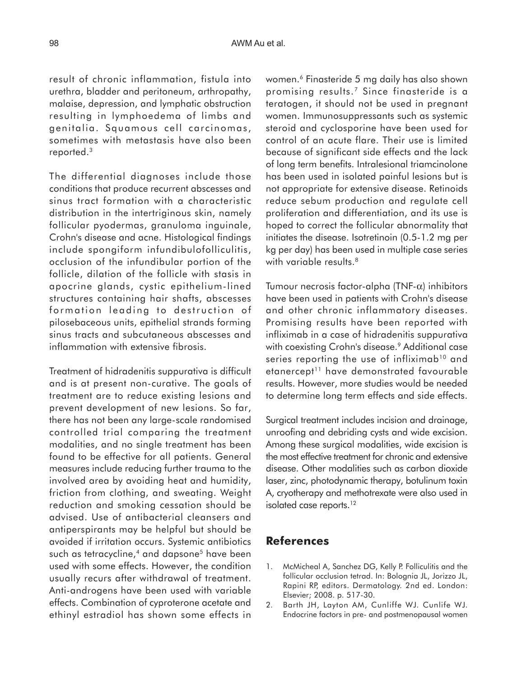result of chronic inflammation, fistula into urethra, bladder and peritoneum, arthropathy, malaise, depression, and lymphatic obstruction resulting in lymphoedema of limbs and genitalia. Squamous cell carcinomas, sometimes with metastasis have also been reported.3

The differential diagnoses include those conditions that produce recurrent abscesses and sinus tract formation with a characteristic distribution in the intertriginous skin, namely follicular pyodermas, granuloma inguinale, Crohn's disease and acne. Histological findings include spongiform infundibulofolliculitis, occlusion of the infundibular portion of the follicle, dilation of the follicle with stasis in apocrine glands, cystic epithelium-lined structures containing hair shafts, abscesses formation leading to destruction of pilosebaceous units, epithelial strands forming sinus tracts and subcutaneous abscesses and inflammation with extensive fibrosis.

Treatment of hidradenitis suppurativa is difficult and is at present non-curative. The goals of treatment are to reduce existing lesions and prevent development of new lesions. So far, there has not been any large-scale randomised controlled trial comparing the treatment modalities, and no single treatment has been found to be effective for all patients. General measures include reducing further trauma to the involved area by avoiding heat and humidity, friction from clothing, and sweating. Weight reduction and smoking cessation should be advised. Use of antibacterial cleansers and antiperspirants may be helpful but should be avoided if irritation occurs. Systemic antibiotics such as tetracycline,<sup>4</sup> and dapsone<sup>5</sup> have been used with some effects. However, the condition usually recurs after withdrawal of treatment. Anti-androgens have been used with variable effects. Combination of cyproterone acetate and ethinyl estradiol has shown some effects in women.6 Finasteride 5 mg daily has also shown promising results.7 Since finasteride is a teratogen, it should not be used in pregnant women. Immunosuppressants such as systemic steroid and cyclosporine have been used for control of an acute flare. Their use is limited because of significant side effects and the lack of long term benefits. Intralesional triamcinolone has been used in isolated painful lesions but is not appropriate for extensive disease. Retinoids reduce sebum production and regulate cell proliferation and differentiation, and its use is hoped to correct the follicular abnormality that initiates the disease. Isotretinoin (0.5-1.2 mg per kg per day) has been used in multiple case series with variable results.<sup>8</sup>

Tumour necrosis factor-alpha (TNF-α) inhibitors have been used in patients with Crohn's disease and other chronic inflammatory diseases. Promising results have been reported with infliximab in a case of hidradenitis suppurativa with coexisting Crohn's disease.<sup>9</sup> Additional case series reporting the use of infliximab<sup>10</sup> and etanercept<sup>11</sup> have demonstrated favourable results. However, more studies would be needed to determine long term effects and side effects.

Surgical treatment includes incision and drainage, unroofing and debriding cysts and wide excision. Among these surgical modalities, wide excision is the most effective treatment for chronic and extensive disease. Other modalities such as carbon dioxide laser, zinc, photodynamic therapy, botulinum toxin A, cryotherapy and methotrexate were also used in isolated case reports.<sup>12</sup>

### **References**

- 1. McMicheal A, Sanchez DG, Kelly P. Folliculitis and the follicular occlusion tetrad. In: Bolognia JL, Jorizzo JL, Rapini RP, editors. Dermatology. 2nd ed. London: Elsevier; 2008. p. 517-30.
- 2. Barth JH, Layton AM, Cunliffe WJ. Cunlife WJ. Endocrine factors in pre- and postmenopausal women